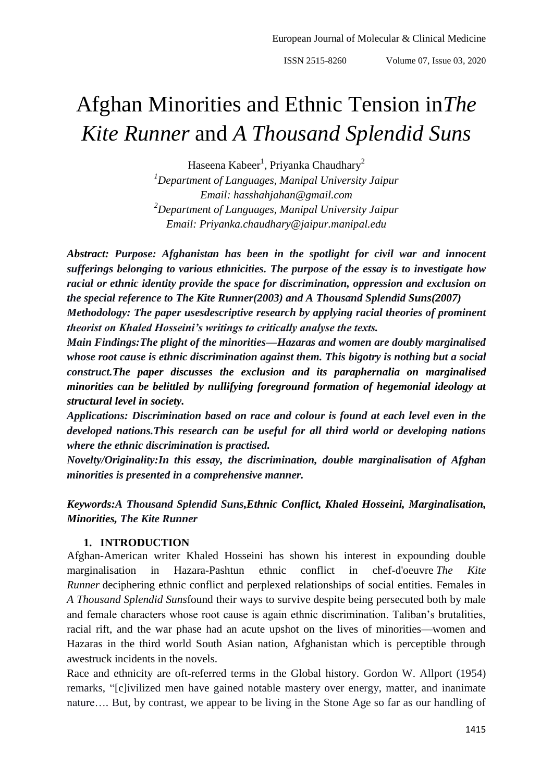# Afghan Minorities and Ethnic Tension in*The Kite Runner* and *A Thousand Splendid Suns*

Haseena Kabeer<sup>1</sup>, Priyanka Chaudhary<sup>2</sup>

*<sup>1</sup>Department of Languages, Manipal University Jaipur Email: hasshahjahan@gmail.com <sup>2</sup>Department of Languages, Manipal University Jaipur Email: Priyanka.chaudhary@jaipur.manipal.edu*

*Abstract: Purpose: Afghanistan has been in the spotlight for civil war and innocent sufferings belonging to various ethnicities. The purpose of the essay is to investigate how racial or ethnic identity provide the space for discrimination, oppression and exclusion on the special reference to The Kite Runner(2003) and A Thousand Splendid Suns(2007)*

*Methodology: The paper usesdescriptive research by applying racial theories of prominent theorist on Khaled Hosseini's writings to critically analyse the texts.*

*Main Findings:The plight of the minorities—Hazaras and women are doubly marginalised whose root cause is ethnic discrimination against them. This bigotry is nothing but a social construct.The paper discusses the exclusion and its paraphernalia on marginalised minorities can be belittled by nullifying foreground formation of hegemonial ideology at structural level in society.*

*Applications: Discrimination based on race and colour is found at each level even in the developed nations.This research can be useful for all third world or developing nations where the ethnic discrimination is practised.*

*Novelty/Originality:In this essay, the discrimination, double marginalisation of Afghan minorities is presented in a comprehensive manner.*

*Keywords:A Thousand Splendid Suns,Ethnic Conflict, Khaled Hosseini, Marginalisation, Minorities, The Kite Runner*

#### **1. INTRODUCTION**

Afghan-American writer Khaled Hosseini has shown his interest in expounding double marginalisation in Hazara-Pashtun ethnic conflict in chef-d'oeuvre *The Kite Runner* deciphering ethnic conflict and perplexed relationships of social entities. Females in *A Thousand Splendid Suns*found their ways to survive despite being persecuted both by male and female characters whose root cause is again ethnic discrimination. Taliban's brutalities, racial rift, and the war phase had an acute upshot on the lives of minorities—women and Hazaras in the third world South Asian nation, Afghanistan which is perceptible through awestruck incidents in the novels.

Race and ethnicity are oft-referred terms in the Global history. Gordon W. Allport (1954) remarks, "[c]ivilized men have gained notable mastery over energy, matter, and inanimate nature…. But, by contrast, we appear to be living in the Stone Age so far as our handling of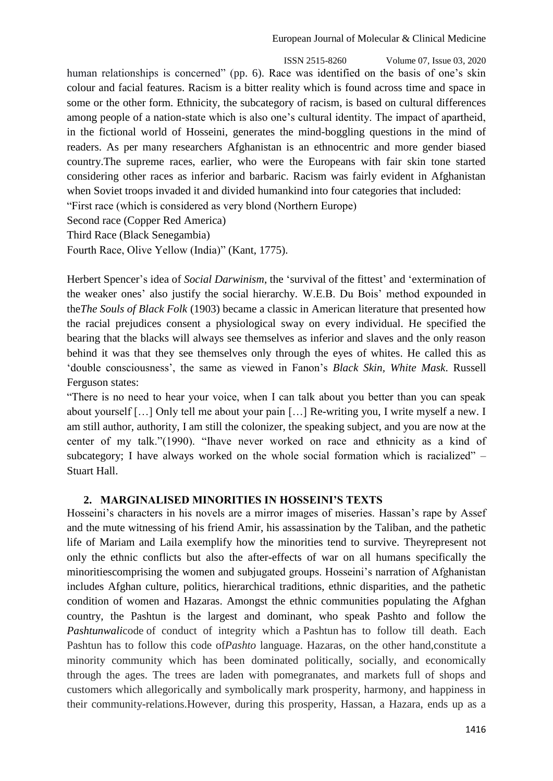ISSN 2515-8260 Volume 07, Issue 03, 2020 human relationships is concerned" (pp. 6). Race was identified on the basis of one's skin colour and facial features. Racism is a bitter reality which is found across time and space in some or the other form. Ethnicity, the subcategory of racism, is based on cultural differences among people of a nation-state which is also one's cultural identity. The impact of apartheid, in the fictional world of Hosseini, generates the mind-boggling questions in the mind of readers. As per many researchers Afghanistan is an ethnocentric and more gender biased country.The supreme races, earlier, who were the Europeans with fair skin tone started considering other races as inferior and barbaric. Racism was fairly evident in Afghanistan when Soviet troops invaded it and divided humankind into four categories that included:

―First race (which is considered as very blond (Northern Europe)

Second race (Copper Red America)

Third Race (Black Senegambia)

Fourth Race, Olive Yellow (India)" (Kant, 1775).

Herbert Spencer's idea of *Social Darwinism*, the 'survival of the fittest' and 'extermination of the weaker ones' also justify the social hierarchy. W.E.B. Du Bois' method expounded in the*The Souls of Black Folk* (1903) became a classic in American literature that presented how the racial prejudices consent a physiological sway on every individual. He specified the bearing that the blacks will always see themselves as inferior and slaves and the only reason behind it was that they see themselves only through the eyes of whites. He called this as ‗double consciousness', the same as viewed in Fanon's *Black Skin, White Mask*. Russell Ferguson states:

―There is no need to hear your voice, when I can talk about you better than you can speak about yourself […] Only tell me about your pain […] Re-writing you, I write myself a new. I am still author, authority, I am still the colonizer, the speaking subject, and you are now at the center of my talk."(1990). "Thave never worked on race and ethnicity as a kind of subcategory; I have always worked on the whole social formation which is racialized"  $-$ Stuart Hall.

## **2. MARGINALISED MINORITIES IN HOSSEINI'S TEXTS**

Hosseini's characters in his novels are a mirror images of miseries. Hassan's rape by Assef and the mute witnessing of his friend Amir, his assassination by the Taliban, and the pathetic life of Mariam and Laila exemplify how the minorities tend to survive. Theyrepresent not only the ethnic conflicts but also the after-effects of war on all humans specifically the minoritiescomprising the women and subjugated groups. Hosseini's narration of Afghanistan includes Afghan culture, politics, hierarchical traditions, ethnic disparities, and the pathetic condition of women and Hazaras. Amongst the ethnic communities populating the Afghan country, the Pashtun is the largest and dominant, who speak Pashto and follow the *Pashtunwali*code of conduct of integrity which a Pashtun has to follow till death. Each Pashtun has to follow this code of*Pashto* language. Hazaras, on the other hand,constitute a minority community which has been dominated politically, socially, and economically through the ages. The trees are laden with pomegranates, and markets full of shops and customers which allegorically and symbolically mark prosperity, harmony, and happiness in their community-relations.However, during this prosperity, Hassan, a Hazara, ends up as a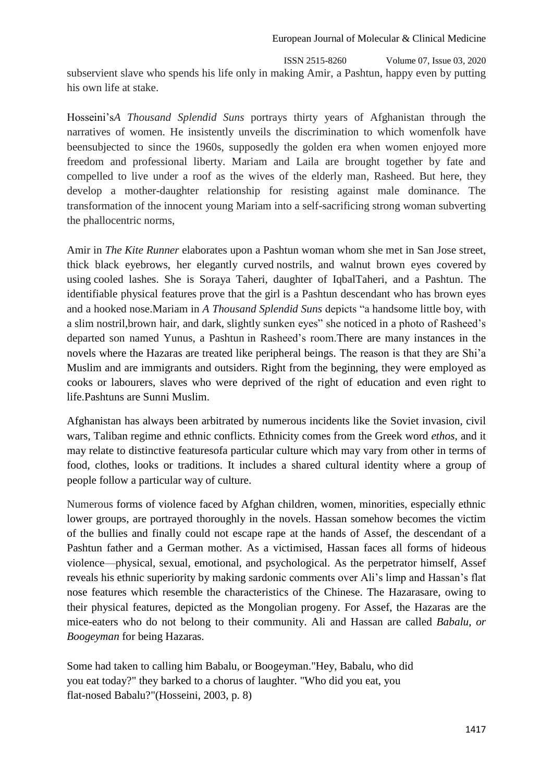ISSN 2515-8260 Volume 07, Issue 03, 2020 subservient slave who spends his life only in making Amir, a Pashtun, happy even by putting his own life at stake.

Hosseini's*A Thousand Splendid Suns* portrays thirty years of Afghanistan through the narratives of women. He insistently unveils the discrimination to which womenfolk have beensubjected to since the 1960s, supposedly the golden era when women enjoyed more freedom and professional liberty. Mariam and Laila are brought together by fate and compelled to live under a roof as the wives of the elderly man, Rasheed. But here, they develop a mother-daughter relationship for resisting against male dominance. The transformation of the innocent young Mariam into a self-sacrificing strong woman subverting the phallocentric norms,

Amir in *The Kite Runner* elaborates upon a Pashtun woman whom she met in San Jose street, thick black eyebrows, her elegantly curved nostrils, and walnut brown eyes covered by using cooled lashes. She is Soraya Taheri, daughter of IqbalTaheri, and a Pashtun. The identifiable physical features prove that the girl is a Pashtun descendant who has brown eyes and a hooked nose.Mariam in *A Thousand Splendid Suns* depicts "a handsome little boy, with a slim nostril, brown hair, and dark, slightly sunken eyes" she noticed in a photo of Rasheed's departed son named Yunus, a Pashtun in Rasheed's room.There are many instances in the novels where the Hazaras are treated like peripheral beings. The reason is that they are Shi'a Muslim and are immigrants and outsiders. Right from the beginning, they were employed as cooks or labourers, slaves who were deprived of the right of education and even right to life.Pashtuns are Sunni Muslim.

Afghanistan has always been arbitrated by numerous incidents like the Soviet invasion, civil wars, Taliban regime and ethnic conflicts. Ethnicity comes from the Greek word *ethos*, and it may relate to distinctive featuresofa particular culture which may vary from other in terms of food, clothes, looks or traditions. It includes a shared cultural identity where a group of people follow a particular way of culture.

Numerous forms of violence faced by Afghan children, women, minorities, especially ethnic lower groups, are portrayed thoroughly in the novels. Hassan somehow becomes the victim of the bullies and finally could not escape rape at the hands of Assef, the descendant of a Pashtun father and a German mother. As a victimised, Hassan faces all forms of hideous violence—physical, sexual, emotional, and psychological. As the perpetrator himself, Assef reveals his ethnic superiority by making sardonic comments over Ali's limp and Hassan's flat nose features which resemble the characteristics of the Chinese. The Hazarasare, owing to their physical features, depicted as the Mongolian progeny. For Assef, the Hazaras are the mice-eaters who do not belong to their community. Ali and Hassan are called *Babalu, or Boogeyman* for being Hazaras.

Some had taken to calling him Babalu, or Boogeyman."Hey, Babalu, who did you eat today?" they barked to a chorus of laughter. "Who did you eat, you flat-nosed Babalu?"(Hosseini, 2003, p. 8)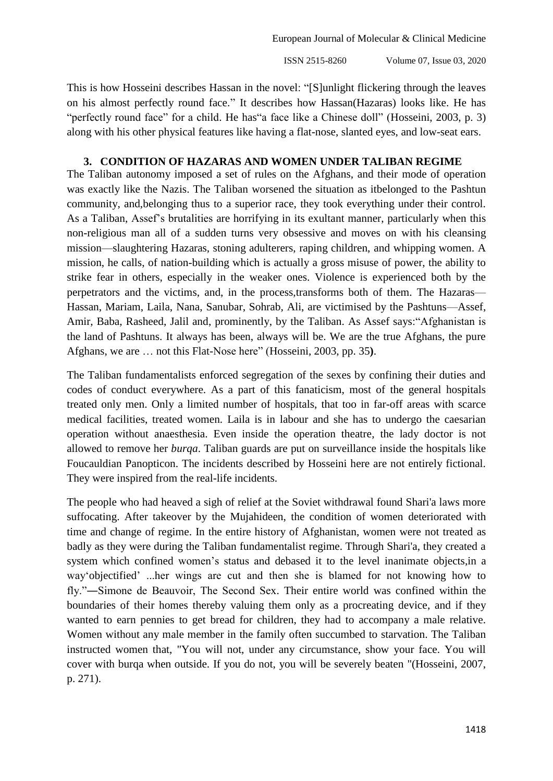ISSN 2515-8260 Volume 07, Issue 03, 2020

This is how Hosseini describes Hassan in the novel: "[S]unlight flickering through the leaves on his almost perfectly round face." It describes how Hassan(Hazaras) looks like. He has "perfectly round face" for a child. He has" a face like a Chinese doll" (Hosseini, 2003, p. 3) along with his other physical features like having a flat-nose, slanted eyes, and low-seat ears.

### **3. CONDITION OF HAZARAS AND WOMEN UNDER TALIBAN REGIME**

The Taliban autonomy imposed a set of rules on the Afghans, and their mode of operation was exactly like the Nazis. The Taliban worsened the situation as itbelonged to the Pashtun community, and,belonging thus to a superior race, they took everything under their control. As a Taliban, Assef's brutalities are horrifying in its exultant manner, particularly when this non-religious man all of a sudden turns very obsessive and moves on with his cleansing mission—slaughtering Hazaras, stoning adulterers, raping children, and whipping women. A mission, he calls, of nation-building which is actually a gross misuse of power, the ability to strike fear in others, especially in the weaker ones. Violence is experienced both by the perpetrators and the victims, and, in the process,transforms both of them. The Hazaras— Hassan, Mariam, Laila, Nana, Sanubar, Sohrab, Ali, are victimised by the Pashtuns—Assef, Amir, Baba, Rasheed, Jalil and, prominently, by the Taliban. As Assef says: "Afghanistan is the land of Pashtuns. It always has been, always will be. We are the true Afghans, the pure Afghans, we are ... not this Flat-Nose here" (Hosseini, 2003, pp. 35).

The Taliban fundamentalists enforced segregation of the sexes by confining their duties and codes of conduct everywhere. As a part of this fanaticism, most of the general hospitals treated only men. Only a limited number of hospitals, that too in far-off areas with scarce medical facilities, treated women. Laila is in labour and she has to undergo the caesarian operation without anaesthesia. Even inside the operation theatre, the lady doctor is not allowed to remove her *burqa*. Taliban guards are put on surveillance inside the hospitals like Foucauldian Panopticon. The incidents described by Hosseini here are not entirely fictional. They were inspired from the real-life incidents.

The people who had heaved a sigh of relief at the Soviet withdrawal found Shari'a laws more suffocating. After takeover by the Mujahideen, the condition of women deteriorated with time and change of regime. In the entire history of Afghanistan, women were not treated as badly as they were during the Taliban fundamentalist regime. Through Shari'a, they created a system which confined women's status and debased it to the level inanimate objects,in a way'objectified' ...her wings are cut and then she is blamed for not knowing how to fly."—Simone de Beauvoir, The Second Sex. Their entire world was confined within the boundaries of their homes thereby valuing them only as a procreating device, and if they wanted to earn pennies to get bread for children, they had to accompany a male relative. Women without any male member in the family often succumbed to starvation. The Taliban instructed women that, "You will not, under any circumstance, show your face. You will cover with burqa when outside. If you do not, you will be severely beaten "(Hosseini, 2007, p. 271).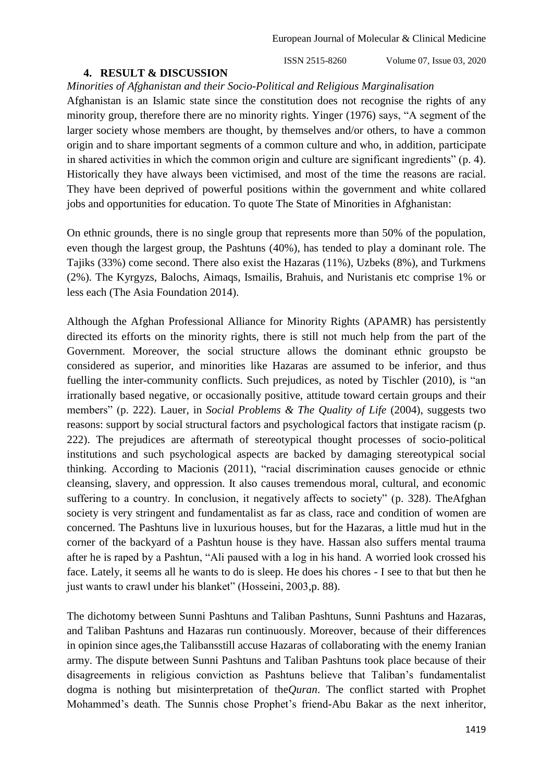#### **4. RESULT & DISCUSSION**

ISSN 2515-8260 Volume 07, Issue 03, 2020

#### *Minorities of Afghanistan and their Socio-Political and Religious Marginalisation*

Afghanistan is an Islamic state since the constitution does not recognise the rights of any minority group, therefore there are no minority rights. Yinger (1976) says, "A segment of the larger society whose members are thought, by themselves and/or others, to have a common origin and to share important segments of a common culture and who, in addition, participate in shared activities in which the common origin and culture are significant ingredients" (p. 4). Historically they have always been victimised, and most of the time the reasons are racial. They have been deprived of powerful positions within the government and white collared jobs and opportunities for education. To quote The State of Minorities in Afghanistan:

On ethnic grounds, there is no single group that represents more than 50% of the population, even though the largest group, the Pashtuns (40%), has tended to play a dominant role. The Tajiks (33%) come second. There also exist the Hazaras (11%), Uzbeks (8%), and Turkmens (2%). The Kyrgyzs, Balochs, Aimaqs, Ismailis, Brahuis, and Nuristanis etc comprise 1% or less each (The Asia Foundation 2014).

Although the Afghan Professional Alliance for Minority Rights (APAMR) has persistently directed its efforts on the minority rights, there is still not much help from the part of the Government. Moreover, the social structure allows the dominant ethnic groupsto be considered as superior, and minorities like Hazaras are assumed to be inferior, and thus fuelling the inter-community conflicts. Such prejudices, as noted by Tischler (2010), is "an irrationally based negative, or occasionally positive, attitude toward certain groups and their members" (p. 222). Lauer, in *Social Problems & The Quality of Life* (2004), suggests two reasons: support by social structural factors and psychological factors that instigate racism (p. 222). The prejudices are aftermath of stereotypical thought processes of socio-political institutions and such psychological aspects are backed by damaging stereotypical social thinking. According to Macionis (2011), "racial discrimination causes genocide or ethnic cleansing, slavery, and oppression. It also causes tremendous moral, cultural, and economic suffering to a country. In conclusion, it negatively affects to society" (p. 328). TheAfghan society is very stringent and fundamentalist as far as class, race and condition of women are concerned. The Pashtuns live in luxurious houses, but for the Hazaras, a little mud hut in the corner of the backyard of a Pashtun house is they have. Hassan also suffers mental trauma after he is raped by a Pashtun, "Ali paused with a log in his hand. A worried look crossed his face. Lately, it seems all he wants to do is sleep. He does his chores - I see to that but then he just wants to crawl under his blanket" (Hosseini, 2003, p. 88).

The dichotomy between Sunni Pashtuns and Taliban Pashtuns, Sunni Pashtuns and Hazaras, and Taliban Pashtuns and Hazaras run continuously. Moreover, because of their differences in opinion since ages,the Talibansstill accuse Hazaras of collaborating with the enemy Iranian army. The dispute between Sunni Pashtuns and Taliban Pashtuns took place because of their disagreements in religious conviction as Pashtuns believe that Taliban's fundamentalist dogma is nothing but misinterpretation of the*Quran*. The conflict started with Prophet Mohammed's death. The Sunnis chose Prophet's friend-Abu Bakar as the next inheritor,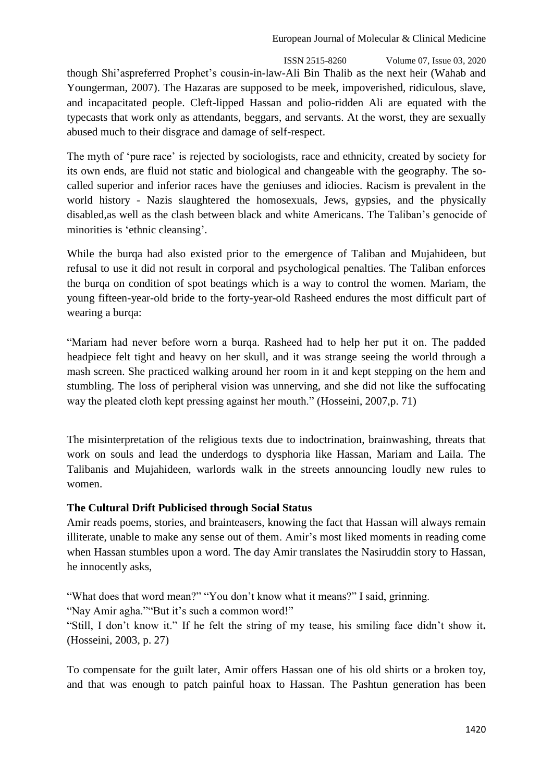ISSN 2515-8260 Volume 07, Issue 03, 2020 though Shi'aspreferred Prophet's cousin-in-law-Ali Bin Thalib as the next heir (Wahab and Youngerman, 2007). The Hazaras are supposed to be meek, impoverished, ridiculous, slave, and incapacitated people. Cleft-lipped Hassan and polio-ridden Ali are equated with the typecasts that work only as attendants, beggars, and servants. At the worst, they are sexually abused much to their disgrace and damage of self-respect.

The myth of 'pure race' is rejected by sociologists, race and ethnicity, created by society for its own ends, are fluid not static and biological and changeable with the geography. The socalled superior and inferior races have the geniuses and idiocies. Racism is prevalent in the world history - Nazis slaughtered the homosexuals, Jews, gypsies, and the physically disabled,as well as the clash between black and white Americans. The Taliban's genocide of minorities is 'ethnic cleansing'.

While the burqa had also existed prior to the emergence of Taliban and Mujahideen, but refusal to use it did not result in corporal and psychological penalties. The Taliban enforces the burqa on condition of spot beatings which is a way to control the women. Mariam, the young fifteen-year-old bride to the forty-year-old Rasheed endures the most difficult part of wearing a burqa:

―Mariam had never before worn a burqa. Rasheed had to help her put it on. The padded headpiece felt tight and heavy on her skull, and it was strange seeing the world through a mash screen. She practiced walking around her room in it and kept stepping on the hem and stumbling. The loss of peripheral vision was unnerving, and she did not like the suffocating way the pleated cloth kept pressing against her mouth." (Hosseini, 2007, p. 71)

The misinterpretation of the religious texts due to indoctrination, brainwashing, threats that work on souls and lead the underdogs to dysphoria like Hassan, Mariam and Laila. The Talibanis and Mujahideen, warlords walk in the streets announcing loudly new rules to women.

## **The Cultural Drift Publicised through Social Status**

Amir reads poems, stories, and brainteasers, knowing the fact that Hassan will always remain illiterate, unable to make any sense out of them. Amir's most liked moments in reading come when Hassan stumbles upon a word. The day Amir translates the Nasiruddin story to Hassan, he innocently asks,

"What does that word mean?" "You don't know what it means?" I said, grinning.

"Nay Amir agha.""But it's such a common word!"

―Still, I don't know it.‖ If he felt the string of my tease, his smiling face didn't show it**.**  (Hosseini, 2003, p. 27)

To compensate for the guilt later, Amir offers Hassan one of his old shirts or a broken toy, and that was enough to patch painful hoax to Hassan. The Pashtun generation has been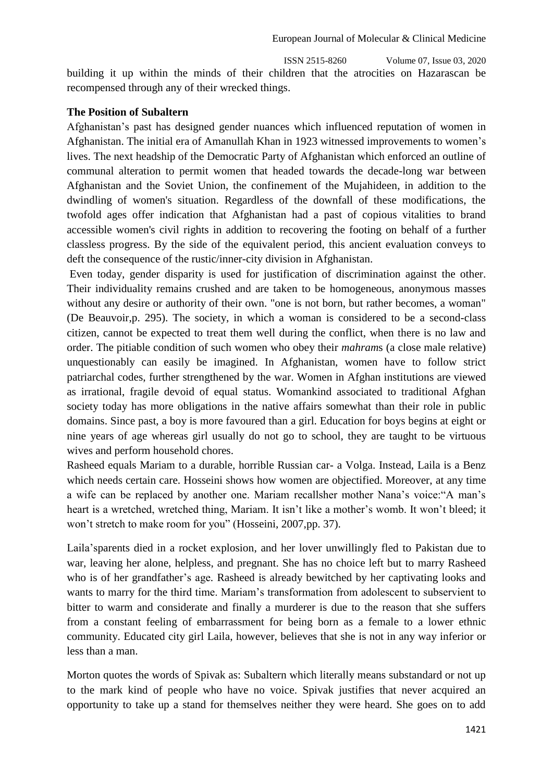ISSN 2515-8260 Volume 07, Issue 03, 2020 building it up within the minds of their children that the atrocities on Hazarascan be recompensed through any of their wrecked things.

# **The Position of Subaltern**

Afghanistan's past has designed gender nuances which influenced reputation of women in Afghanistan. The initial era of Amanullah Khan in 1923 witnessed improvements to women's lives. The next headship of the Democratic Party of Afghanistan which enforced an outline of communal alteration to permit women that headed towards the decade-long war between Afghanistan and the Soviet Union, the confinement of the Mujahideen, in addition to the dwindling of women's situation. Regardless of the downfall of these modifications, the twofold ages offer indication that Afghanistan had a past of copious vitalities to brand accessible women's civil rights in addition to recovering the footing on behalf of a further classless progress. By the side of the equivalent period, this ancient evaluation conveys to deft the consequence of the rustic/inner-city division in Afghanistan.

Even today, gender disparity is used for justification of discrimination against the other. Their individuality remains crushed and are taken to be homogeneous, anonymous masses without any desire or authority of their own. "one is not born, but rather becomes, a woman" (De Beauvoir,p. 295). The society, in which a woman is considered to be a second-class citizen, cannot be expected to treat them well during the conflict, when there is no law and order. The pitiable condition of such women who obey their *mahram*s (a close male relative) unquestionably can easily be imagined. In Afghanistan, women have to follow strict patriarchal codes, further strengthened by the war. Women in Afghan institutions are viewed as irrational, fragile devoid of equal status. Womankind associated to traditional Afghan society today has more obligations in the native affairs somewhat than their role in public domains. Since past, a boy is more favoured than a girl. Education for boys begins at eight or nine years of age whereas girl usually do not go to school, they are taught to be virtuous wives and perform household chores.

Rasheed equals Mariam to a durable, horrible Russian car- a Volga. Instead, Laila is a Benz which needs certain care. Hosseini shows how women are objectified. Moreover, at any time a wife can be replaced by another one. Mariam recallsher mother Nana's voice: "A man's heart is a wretched, wretched thing, Mariam. It isn't like a mother's womb. It won't bleed; it won't stretch to make room for you" (Hosseini, 2007,pp. 37).

Laila'sparents died in a rocket explosion, and her lover unwillingly fled to Pakistan due to war, leaving her alone, helpless, and pregnant. She has no choice left but to marry Rasheed who is of her grandfather's age. Rasheed is already bewitched by her captivating looks and wants to marry for the third time. Mariam's transformation from adolescent to subservient to bitter to warm and considerate and finally a murderer is due to the reason that she suffers from a constant feeling of embarrassment for being born as a female to a lower ethnic community. Educated city girl Laila, however, believes that she is not in any way inferior or less than a man.

Morton quotes the words of Spivak as: Subaltern which literally means substandard or not up to the mark kind of people who have no voice. Spivak justifies that never acquired an opportunity to take up a stand for themselves neither they were heard. She goes on to add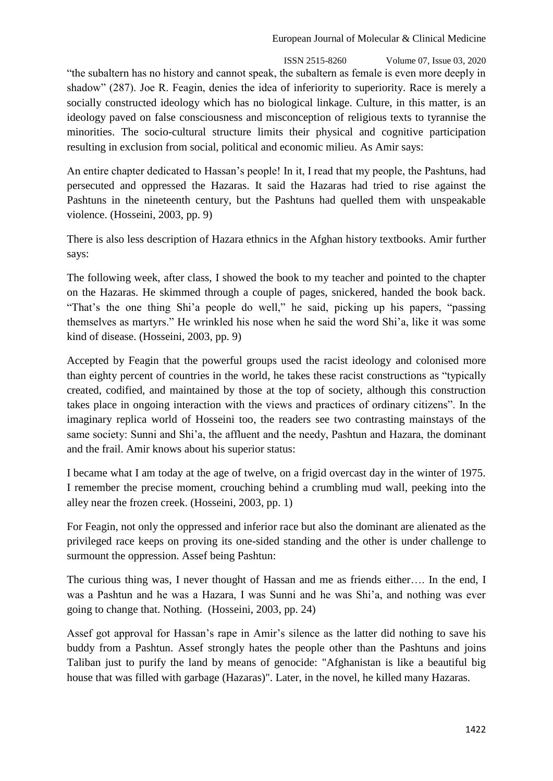#### European Journal of Molecular & Clinical Medicine

 ISSN 2515-8260 Volume 07, Issue 03, 2020 "the subaltern has no history and cannot speak, the subaltern as female is even more deeply in shadow" (287). Joe R. Feagin, denies the idea of inferiority to superiority. Race is merely a socially constructed ideology which has no biological linkage. Culture, in this matter, is an ideology paved on false consciousness and misconception of religious texts to tyrannise the minorities. The socio-cultural structure limits their physical and cognitive participation resulting in exclusion from social, political and economic milieu. As Amir says:

An entire chapter dedicated to Hassan's people! In it, I read that my people, the Pashtuns, had persecuted and oppressed the Hazaras. It said the Hazaras had tried to rise against the Pashtuns in the nineteenth century, but the Pashtuns had quelled them with unspeakable violence. (Hosseini, 2003, pp. 9)

There is also less description of Hazara ethnics in the Afghan history textbooks. Amir further says:

The following week, after class, I showed the book to my teacher and pointed to the chapter on the Hazaras. He skimmed through a couple of pages, snickered, handed the book back. "That's the one thing Shi'a people do well," he said, picking up his papers, "passing themselves as martyrs." He wrinkled his nose when he said the word Shi'a, like it was some kind of disease. (Hosseini, 2003, pp. 9)

Accepted by Feagin that the powerful groups used the racist ideology and colonised more than eighty percent of countries in the world, he takes these racist constructions as "typically created, codified, and maintained by those at the top of society, although this construction takes place in ongoing interaction with the views and practices of ordinary citizens". In the imaginary replica world of Hosseini too, the readers see two contrasting mainstays of the same society: Sunni and Shi'a, the affluent and the needy, Pashtun and Hazara, the dominant and the frail. Amir knows about his superior status:

I became what I am today at the age of twelve, on a frigid overcast day in the winter of 1975. I remember the precise moment, crouching behind a crumbling mud wall, peeking into the alley near the frozen creek. (Hosseini, 2003, pp. 1)

For Feagin, not only the oppressed and inferior race but also the dominant are alienated as the privileged race keeps on proving its one-sided standing and the other is under challenge to surmount the oppression. Assef being Pashtun:

The curious thing was, I never thought of Hassan and me as friends either…. In the end, I was a Pashtun and he was a Hazara, I was Sunni and he was Shi'a, and nothing was ever going to change that. Nothing. (Hosseini, 2003, pp. 24)

Assef got approval for Hassan's rape in Amir's silence as the latter did nothing to save his buddy from a Pashtun. Assef strongly hates the people other than the Pashtuns and joins Taliban just to purify the land by means of genocide: "Afghanistan is like a beautiful big house that was filled with garbage (Hazaras)". Later, in the novel, he killed many Hazaras.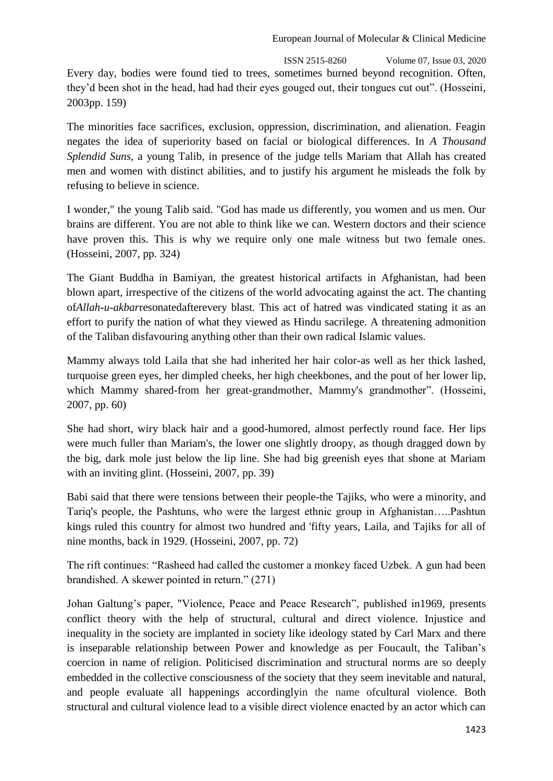ISSN 2515-8260 Volume 07, Issue 03, 2020 Every day, bodies were found tied to trees, sometimes burned beyond recognition. Often, they'd been shot in the head, had had their eyes gouged out, their tongues cut out". (Hosseini, 2003pp. 159)

The minorities face sacrifices, exclusion, oppression, discrimination, and alienation. Feagin negates the idea of superiority based on facial or biological differences. In *A Thousand Splendid Suns*, a young Talib, in presence of the judge tells Mariam that Allah has created men and women with distinct abilities, and to justify his argument he misleads the folk by refusing to believe in science.

I wonder," the young Talib said. "God has made us differently, you women and us men. Our brains are different. You are not able to think like we can. Western doctors and their science have proven this. This is why we require only one male witness but two female ones. (Hosseini, 2007, pp. 324)

The Giant Buddha in Bamiyan, the greatest historical artifacts in Afghanistan, had been blown apart, irrespective of the citizens of the world advocating against the act. The chanting of*Allah-u-akbar*resonatedafterevery blast. This act of hatred was vindicated stating it as an effort to purify the nation of what they viewed as Hindu sacrilege. A threatening admonition of the Taliban disfavouring anything other than their own radical Islamic values.

Mammy always told Laila that she had inherited her hair color-as well as her thick lashed, turquoise green eyes, her dimpled cheeks, her high cheekbones, and the pout of her lower lip, which Mammy shared-from her great-grandmother, Mammy's grandmother". (Hosseini, 2007, pp. 60)

She had short, wiry black hair and a good-humored, almost perfectly round face. Her lips were much fuller than Mariam's, the lower one slightly droopy, as though dragged down by the big, dark mole just below the lip line. She had big greenish eyes that shone at Mariam with an inviting glint. (Hosseini, 2007, pp. 39)

Babi said that there were tensions between their people-the Tajiks, who were a minority, and Tariq's people, the Pashtuns, who were the largest ethnic group in Afghanistan…..Pashtun kings ruled this country for almost two hundred and 'fifty years, Laila, and Tajiks for all of nine months, back in 1929. (Hosseini, 2007, pp. 72)

The rift continues: "Rasheed had called the customer a monkey faced Uzbek. A gun had been brandished. A skewer pointed in return."  $(271)$ 

Johan Galtung's paper, "Violence, Peace and Peace Research", published in 1969, presents conflict theory with the help of structural, cultural and direct violence. Injustice and inequality in the society are implanted in society like ideology stated by Carl Marx and there is inseparable relationship between Power and knowledge as per Foucault, the Taliban's coercion in name of religion. Politicised discrimination and structural norms are so deeply embedded in the collective consciousness of the society that they seem inevitable and natural, and people evaluate all happenings accordinglyin the name ofcultural violence. Both structural and cultural violence lead to a visible direct violence enacted by an actor which can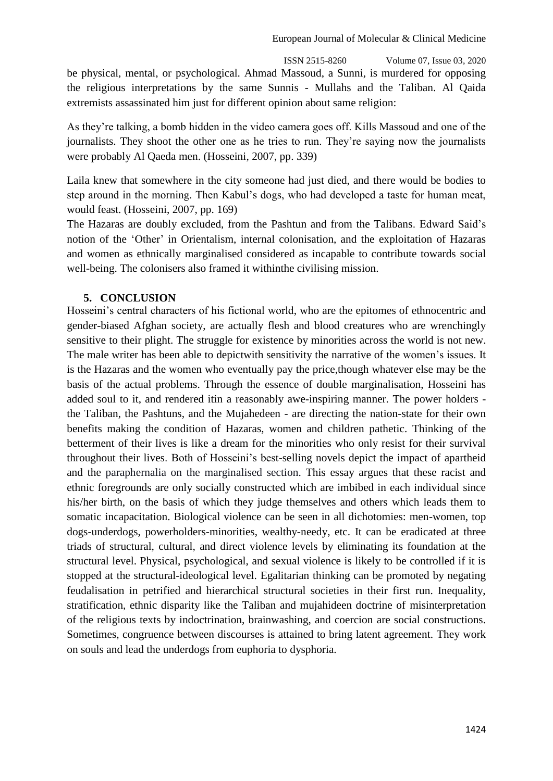ISSN 2515-8260 Volume 07, Issue 03, 2020 be physical, mental, or psychological. Ahmad Massoud, a Sunni, is murdered for opposing the religious interpretations by the same Sunnis - Mullahs and the Taliban. Al Qaida extremists assassinated him just for different opinion about same religion:

As they're talking, a bomb hidden in the video camera goes off. Kills Massoud and one of the journalists. They shoot the other one as he tries to run. They're saying now the journalists were probably Al Qaeda men. (Hosseini, 2007, pp. 339)

Laila knew that somewhere in the city someone had just died, and there would be bodies to step around in the morning. Then Kabul's dogs, who had developed a taste for human meat, would feast. (Hosseini, 2007, pp. 169)

The Hazaras are doubly excluded, from the Pashtun and from the Talibans. Edward Said's notion of the 'Other' in Orientalism, internal colonisation, and the exploitation of Hazaras and women as ethnically marginalised considered as incapable to contribute towards social well-being. The colonisers also framed it withinthe civilising mission.

# **5. CONCLUSION**

Hosseini's central characters of his fictional world, who are the epitomes of ethnocentric and gender-biased Afghan society, are actually flesh and blood creatures who are wrenchingly sensitive to their plight. The struggle for existence by minorities across the world is not new. The male writer has been able to depictwith sensitivity the narrative of the women's issues. It is the Hazaras and the women who eventually pay the price,though whatever else may be the basis of the actual problems. Through the essence of double marginalisation, Hosseini has added soul to it, and rendered itin a reasonably awe-inspiring manner. The power holders the Taliban, the Pashtuns, and the Mujahedeen - are directing the nation-state for their own benefits making the condition of Hazaras, women and children pathetic. Thinking of the betterment of their lives is like a dream for the minorities who only resist for their survival throughout their lives. Both of Hosseini's best-selling novels depict the impact of apartheid and the paraphernalia on the marginalised section. This essay argues that these racist and ethnic foregrounds are only socially constructed which are imbibed in each individual since his/her birth, on the basis of which they judge themselves and others which leads them to somatic incapacitation. Biological violence can be seen in all dichotomies: men-women, top dogs-underdogs, powerholders-minorities, wealthy-needy, etc. It can be eradicated at three triads of structural, cultural, and direct violence levels by eliminating its foundation at the structural level. Physical, psychological, and sexual violence is likely to be controlled if it is stopped at the structural-ideological level. Egalitarian thinking can be promoted by negating feudalisation in petrified and hierarchical structural societies in their first run. Inequality, stratification, ethnic disparity like the Taliban and mujahideen doctrine of misinterpretation of the religious texts by indoctrination, brainwashing, and coercion are social constructions. Sometimes, congruence between discourses is attained to bring latent agreement. They work on souls and lead the underdogs from euphoria to dysphoria.